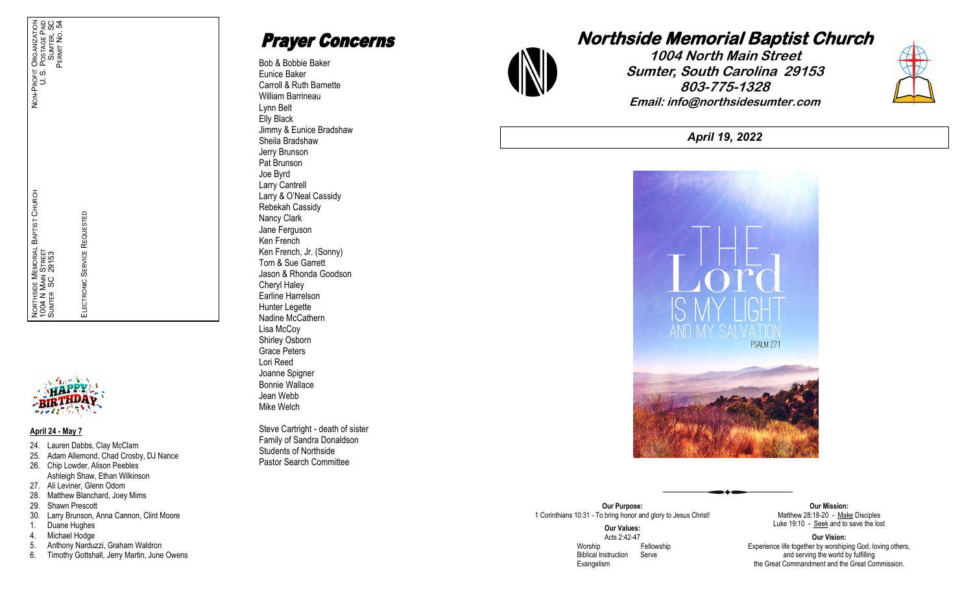

#### **April 24 - May 7**

24. Lauren Dabbs, Clay McClam

ELECTRONIC SERVICE REQUESTED

**SERVICE** 

ECTRONIC

ᇚ

REQUESTED

- 25. Adam Allemond, Chad Crosby, DJ Nance
- 26. Chip Lowder, Alison Peebles Ashleigh Shaw, Ethan Wilkinson
- 27. Ali Leviner, Glenn Odom
- 28. Matthew Blanchard, Joey Mims
- 29. Shawn Prescott
- 30. Larry Brunson, Anna Cannon, Clint Moore
- 1. Duane Hughes
- 4. Michael Hodge
- 5. Anthony Narduzzi, Graham Waldron
- 6. Timothy Gottshall, Jerry Martin, June Owens

# **Prayer Concerns**

Bob & Bobbie Baker Eunice Baker Carroll & Ruth Barnette William Barrineau Lynn Belt Elly Black Jimmy & Eunice Bradshaw Sheila Bradshaw Jerry Brunson Pat Brunson Joe Byrd Larry Cantrell Larry & O'Neal Cassidy Rebekah Cassidy Nancy Clark Jane Ferguson Ken French Ken French, Jr. (Sonny) Tom & Sue Garrett Jason & Rhonda Goodson Cheryl Haley Earline Harrelson Hunter Legette Nadine McCathern Lisa McCoy Shirley Osborn Grace Peters Lori Reed Joanne Spigner Bonnie Wallace Jean Webb Mike Welch

Steve Cartright - death of sister Family of Sandra Donaldson Students of Northside Pastor Search Committee



# **1004 North Main Street Sumter, South Carolina 29153 803-775-1328 Email: info@northsidesumter.com**



*April 19, 2022*



#### **Our Purpose:** 1 Corinthians 10:31 - To bring honor and glory to Jesus Christ!

**Our Values:** Acts 2:42 -47 Worship **Fellowship**  Biblical Instruction Serve Evangelism

**Our Mission:** Matthew 28:18-20 - Make Disciples Luke 19:10 - Seek and to save the lost

**Our Vision:** Experience life together by worshiping God, loving others, and serving the world by fulfilling the Great Commandment and the Great Commission.